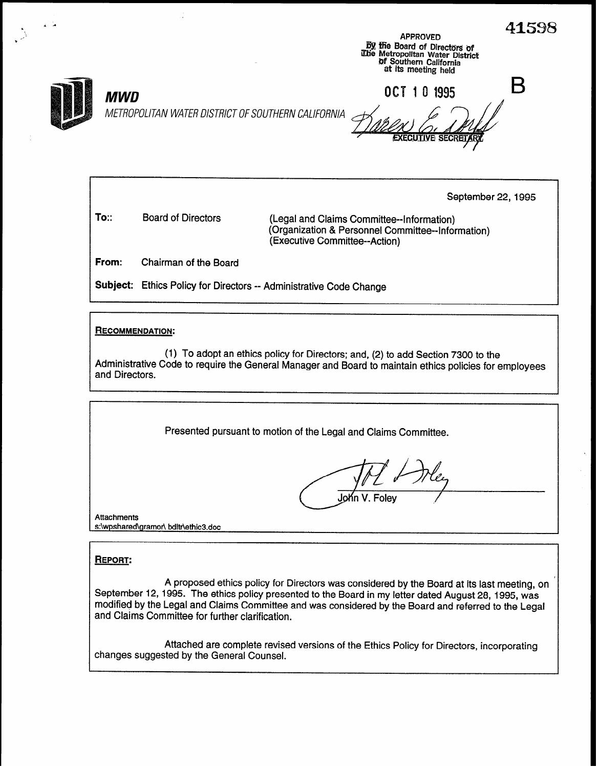41598 z 4 APPROVED<br>By the Board of Directors of<br>Which Metropolitan Water District (@Metropolitan Water District<br>Of Southern California at its meeting held B OCT 1 0 1995 MWD METROPOLITAN WATER DISTRICT OF SOUTHERN CALIFORNIA September 22, 1995 To:: Board of Directors (Legal and Claims Committee--Information) (Organization & Personnel Committee--Information) (Executive Committee--Action) From: Chairman of the Board Subject: Ethics Policy for Directors -- Administrative Code Change **RECOMMENDATION:** (1) To adopt an ethics policy for Directors; and, (2) to add Section 7300 to the Administrative Code to require the General Manager and Board to maintain ethics policies for employees and Directors. Presented pursuant to motion of the Legal and Claims Committee.

John V. Folev

**Attachments** s:\wpshared\gramor\ bdltr\ethic3.doc

### REPORT:

.

A proposed ethics policy for Directors was considered by the Board at its last meeting, on September 12, 1995. The ethics policy presented to the Board in my letter dated August 28, 1995, was modified by the Legal and Claims Committee and was considered by the Board and referred to the Legal and Claims Committee for further clarification.

Attached are complete revised versions of the Ethics Policy for Directors, incorporating changes suggested by the General Counsel.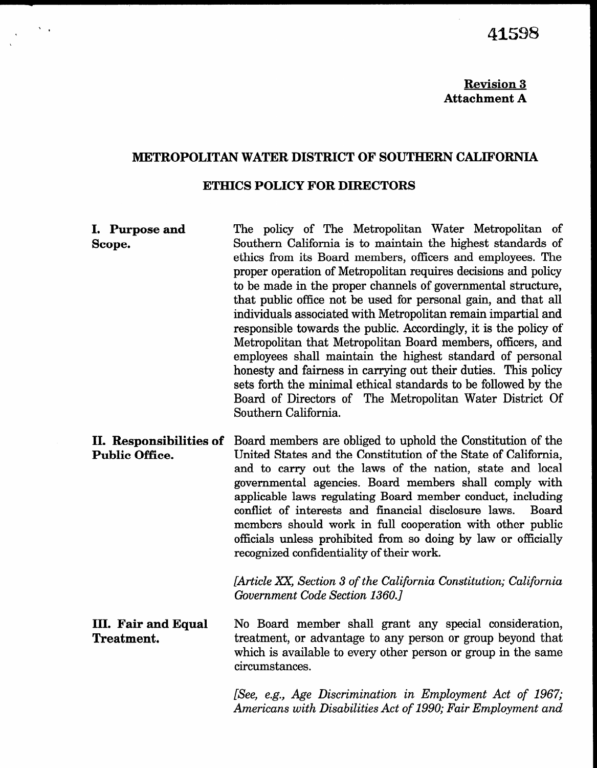## Revision 3 Attachment A

## METROPOLITAN WATER DISTRICT OF SOUTHERN CALIFORNIA

#### ETHICS POLICY FOR DIRECTORS

I. Purpose and Scope. The policy of The Metropolitan Water Metropolitan of Southern California is to maintain the highest standards of ethics from its Board members, officers and employees. The proper operation of Metropolitan requires decisions and policy to be made in the proper channels of governmental structure, that public office not be used for personal gain, and that all individuals associated with Metropolitan remain impartial and responsible towards the public. Accordingly, it is the policy of Metropolitan that Metropolitan Board members, officers, and employees shall maintain the highest standard of personal honesty and fairness in carrying out their duties. This policy sets forth the minimal ethical standards to be followed by the Board of Directors of The Metropolitan Water District Of Southern California. II. Responsibilities of Board members are obliged to uphold the Constitution of the Public Office. United States and the Constitution of the State of California, and to carry out the laws of the nation, state and local governmental agencies. Board members shall comply with applicable laws regulating Board member conduct, including

conflict of interests and financial disclosure laws. Board members should work in full cooperation with other public  $\alpha$  is a dominated from some solution so doing by  $\alpha$  is a dominated from some solution  $\alpha$  is a doing by law or of  $\alpha$ recognized confidential continuous promoteculum so doi-

> $\begin{bmatrix} 1 & 1 & \frac{1}{2} & \frac{1}{2} & \frac{1}{2} & \frac{1}{2} & \frac{1}{2} & \frac{1}{2} & \frac{1}{2} & \frac{1}{2} & \frac{1}{2} & \frac{1}{2} & \frac{1}{2} & \frac{1}{2} & \frac{1}{2} & \frac{1}{2} & \frac{1}{2} & \frac{1}{2} & \frac{1}{2} & \frac{1}{2} & \frac{1}{2} & \frac{1}{2} & \frac{1}{2} & \frac{1}{2} & \frac{1}{2} & \frac{1}{2} & \frac{1}{2} & \frac{1}{2} &$ Government Code Section 1360.1

 $\frac{1}{2}$  . Fair and Equal Equal Equal Equal Equal Equal Equal Equal Equal Equal Equal Equal Equal Equal Equal Equal Equal Equal Equal Equal Equal Equal Equal Equal Equal Equal Equal Equal Equal Equal Equal Equal Equal Eq пп. ган<br>— No Board member shall grant any special consideration, tro board member shall grant any special consideration, treatment, or advantage to any person or group beyond that which is available to every other person or group in the same circumstances.

> [See, e.g., Age Discrimination in Employment Act of 1967;  $[See, e.g., Age\ Distribution\ in\ Employment\ Act\ of\ 1967]$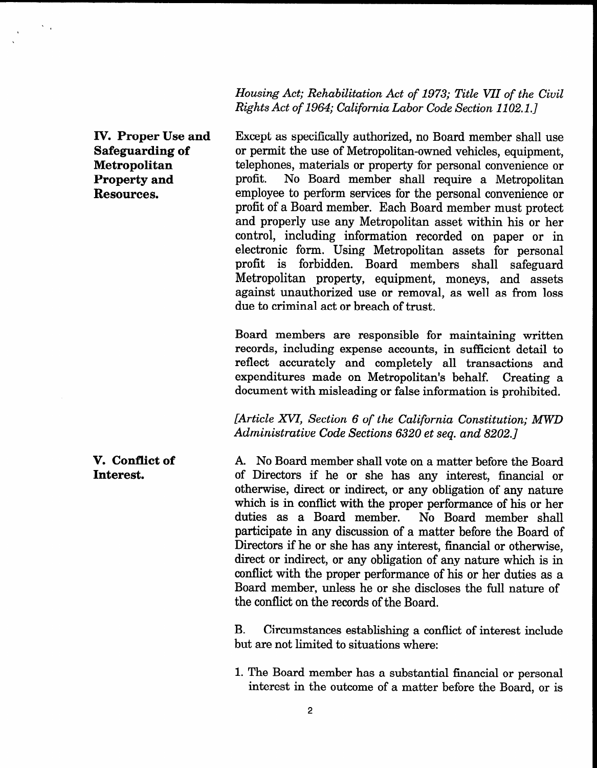Housing Act; Rehabilitation Act of 1973; Title VII of the Civil Rights Act of 1964; California Labor Code Section 1102.1.]

IV. Proper Use and Except as specifically authorized, no Board member shall use Safeguarding of or permit the use of Metropolitan-owned vehicles, equipment, Metropolitan telephones, materials or property for personal convenience or **Property and** profit. No Board member shall require a Metropolitan Resources. employee to perform services for the personal convenience or profit of a Board member. Each Board member must protect and properly use any Metropolitan asset within his or her control, including information recorded on paper or in electronic form. Using Metropolitan assets for personal profit is forbidden. Board members shall safeguard Metropolitan property, equipment, moneys, and assets against unauthorized use or removal, as well as from loss due to criminal act or breach of trust.

> Board members are responsible for maintaining written records, including expense accounts, in sufficient detail to reflect accurately and completely all transactions and expenditures made on Metropolitan's behalf. Creating a document with misleading or false information is prohibited.

> [Article XVI, Section 6 of the California Constitution; MWD Administrative Code Sections 6320 et seq. and 8202.1

A. No Board member shall vote on a matter before the Board of Directors if he or she has any interest, financial or of Directors in the  $\sigma$  site has any interest, indirected or which wise, uncer or municity, or any obligation or any hattile which is in conflict with the proper performance of his or her duties as a Board member. No Board member shall participate in any discussion of a matter before the Board of paracipate in any uncursion or a matter before the board of  $\mu$  directions in the or sine has any interest, inflancial or otherwise, direct or indirect, or any obligation of any nature which is in conflict with the proper performance of his or her duties as a Board member, unless he or she discloses the full nature of the conflict on the records of the Board.

> $\mathbf{B} = \mathbf{A}$ b. Uircumstances establishing a con

> 1. The Board member has a substantial financial or personal Ine Board member has a substantial financial or personal

V. Conflict of Interest.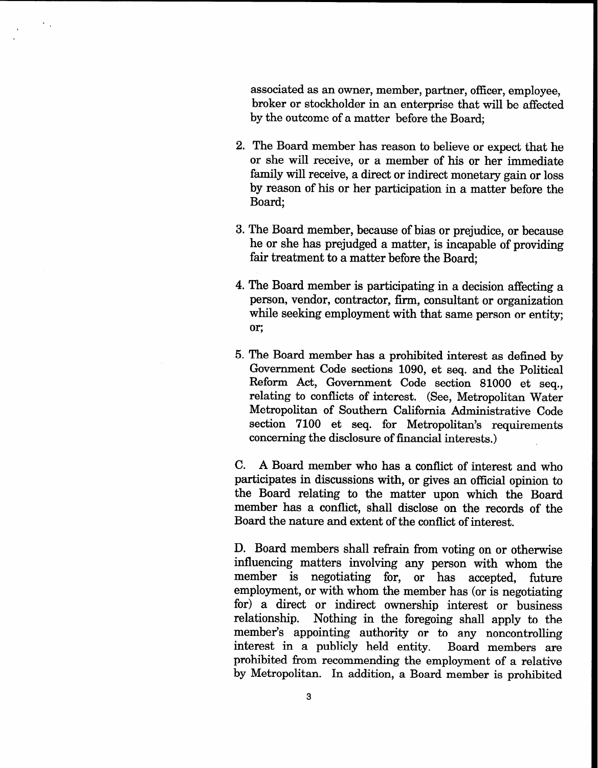associated as an owner, member, partner, officer, employee, broker or stockholder in an enterprise that will be affected by the outcome of a matter before the Board;

- 2. The Board member has reason to believe or expect that he or she will receive, or a member of his or her immediate family will receive, a direct or indirect monetary gain or loss by reason of his or her participation in a matter before the Board;
- 3. The Board member, because of bias or prejudice, or because he or she has prejudged a matter, is incapable of providing fair treatment to a matter before the Board;
- 4. The Board member is participating in a decision affecting a person, vendor, contractor, firm, consultant or organization while seeking employment with that same person or entity; or;
- 5. The Board member has a prohibited interest as defined by Government Code sections 1090, et seq. and the Political Reform Act, Government Code section 81000 et seq., relating to conflicts of interest. (See, Metropolitan Water Metropolitan of Southern California Administrative Code section 7100 et seq. for Metropolitan's requirements concerning the disclosure of financial interests.)

C. A Board member who has a conflict of interest and who participates in discussions with, or gives an official opinion to the Board relating to the matter upon which the Board member has a conflict, shall disclose on the records of the Board the nature and extent of the conflict of interest.

D. Board members shall refrain from voting on or otherwise influencing matters involving any person with whom the member is negotiating for, or has accepted, future employment, or with whom the member has (or is negotiating for) a direct or indirect ownership interest or business relationship. Nothing in the foregoing shall apply to the member's appointing authority or to any noncontrolling interest in a publicly held entity. Board members are prohibited from recommending the employment of a relative by Metropolitan. In addition, a Board member is prohibited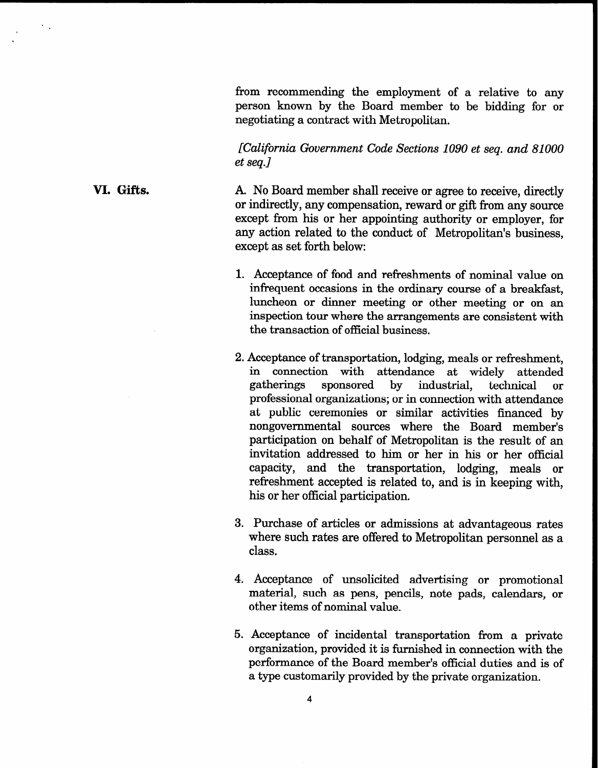from recommending the employment of a relative to any person known by the Board member to be bidding for or negotiating a contract with Metropolitan.

[California Government Code Sections 1090 et seq. and 81000 et seq.]

A. No Board member shall receive or agree to receive, directly or indirectly, any compensation, reward or gift from any source except from his or her appointing authority or employer, for any action related to the conduct of Metropolitan's business, except as set forth below:

VI. Gifts.

 $\sum_{\mathbf{k}}$ 

- 1. Acceptance of food and refreshments of nominal value on infrequent occasions in the ordinary course of a breakfast, luncheon or dinner meeting or other meeting or on an inspection tour where the arrangements are consistent with the transaction of official business.
- 2. Acceptance of transportation, lodging, meals or refreshment, in connection with attendance at widely attended gatherings sponsored by industrial, technical or professional organizations; or in connection with attendance at public ceremonies or similar activities financed by nongovernmental sources where the Board member's participation on behalf of Metropolitan is the result of an invitation addressed to him or her in his or her official capacity, and the transportation, lodging, meals or refreshment accepted is related to, and is in keeping with, his or her official participation.
- 3. Purchase of articles or admissions at advantageous rates where such rates are offered to Metropolitan personnel as a class.
- 4. Acceptance of unsolicited advertising or promotional material, such as pens, pencils, note pads, calendars, or other items of nominal value.
- 5. Acceptance of incidental transportation from a private organization, provided it is furnished in connection with the performance of the Board member's official duties and is of a type customarily provided by the private organization.

4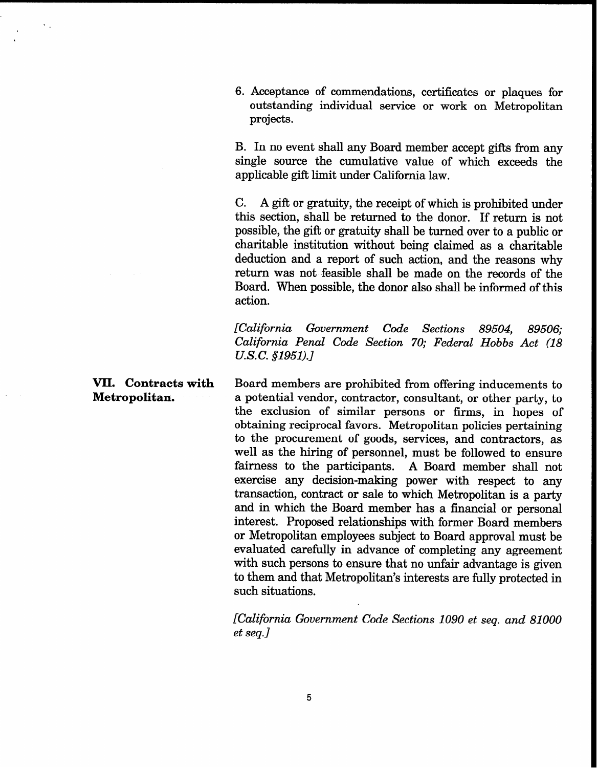6. Acceptance of commendations, certificates or plaques for outstanding individual service or work on Metropolitan projects.

B. In no event shall any Board member accept gifts from any single source the cumulative value of which exceeds the applicable gift limit under California law.

C. A gift or gratuity, the receipt of which is prohibited under this section, shall be returned to the donor. If return is not possible, the gift or gratuity shall be turned over to a public or charitable institution without being claimed as a charitable deduction and a report of such action, and the reasons why return was not feasible shall be made on the records of the Board. When possible, the donor also shall be informed of this action.

[California Government Code Sections 89504, 89506; California Penal Code Section 70; Federal Hobbs Act (18 U.S.C. §1951).]

Board members are prohibited from offering inducements to a potential vendor, contractor, consultant, or other party, to the exclusion of similar persons or firms, in hopes of obtaining reciprocal favors. Metropolitan policies pertaining to the procurement of goods, services, and contractors, as well as the hiring of personnel, must be followed to ensure fairness to the participants. A Board member shall not exercise any decision-making power with respect to any transaction, contract or sale to which Metropolitan is a party and in which the Board member has a financial or personal interest. Proposed relationships with former Board members or Metropolitan employees subject to Board approval must be evaluated carefully in advance of completing any agreement with such persons to ensure that no unfair advantage is given to them and that Metropolitan's interests are fully protected in such situations.

> [California Government Code Sections 1090 et seq. and 81000 et seq.]

VII. Contracts with Metropolitan.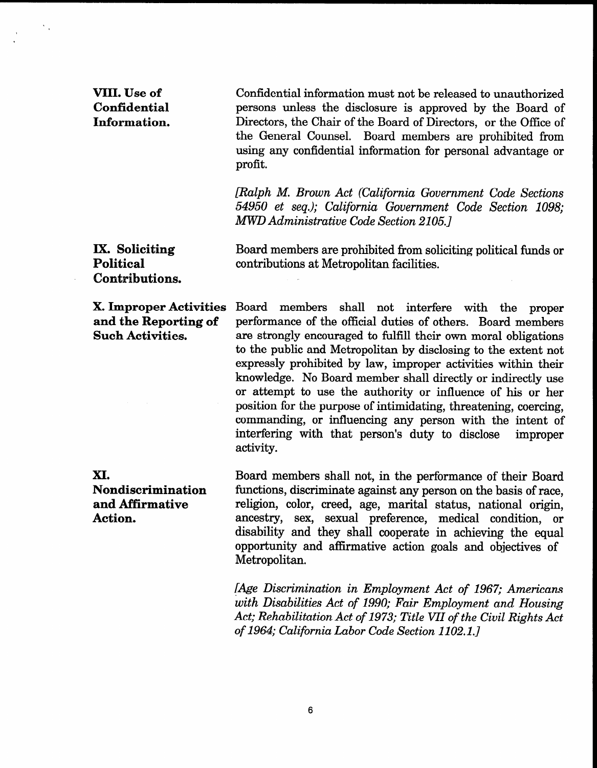VIII. Use of Confidential Information. Confidential information must not be released to unauthorized persons unless the disclosure is approved by the Board of Directors, the Chair of the Board of Directors, or the Office of the General Counsel. Board members are prohibited from using any confidential information for personal advantage or profit. /Ralph M. Brown Act (California Government Code Sections 54950 et seq.); California Government Code Section 1098; MWD Administrative Code Section 2105.1 IX. Soliciting Political Contributions. Board members are prohibited from soliciting political funds or contributions at Metropolitan facilities. X. Improper Activities Board members shall not interfere with the proper and the Reporting of performance of the official duties of others. Board members Such Activities. are strongly encouraged to fulfill their own moral obligations to the public and Metropolitan by disclosing to the extent not expressly prohibited by law, improper activities within their knowledge. No Board member shall directly or indirectly use or attempt to use the authority or influence of his or her position for the purpose of intimidating, threatening, coercing, position for the purpose or municiality, uncalculing, coefficiely interfering with that person's duty to disclose improper interfering with that person's duty to disclose activity. XI. Nondiscrimination and Affirmative Action. Board members shall not, in the performance of their Board functions, discriminate against any person on the basis of race, religion, color, creed, age, marital status, national origin, rengion, color, creed, age, marital status, hational origin, discussive and the sexual preference, inequital condition, or disability and they shall cooperate in active and option equal

> $\mathbf{A}$  Discrimination in Employment Act of 1967; Americans Act of 1967; Americans Act of 1967; Americans Act of 1977; Americans Act of 1967; Americans Act of 1967; Americans Act of 1967; Americans Act of 1967; Americans  $t$  Discrimination in Employment Act of 1901; American with Disabilities Act of 1990; Fair Employment and Housing Act; Rehabilitation Act of 1973; Title VII of the Civil Rights Act<br>of 1964; California Labor Code Section 1102.1.]

 $\mathcal{N}_{\mathcal{A}}$ 

opportumey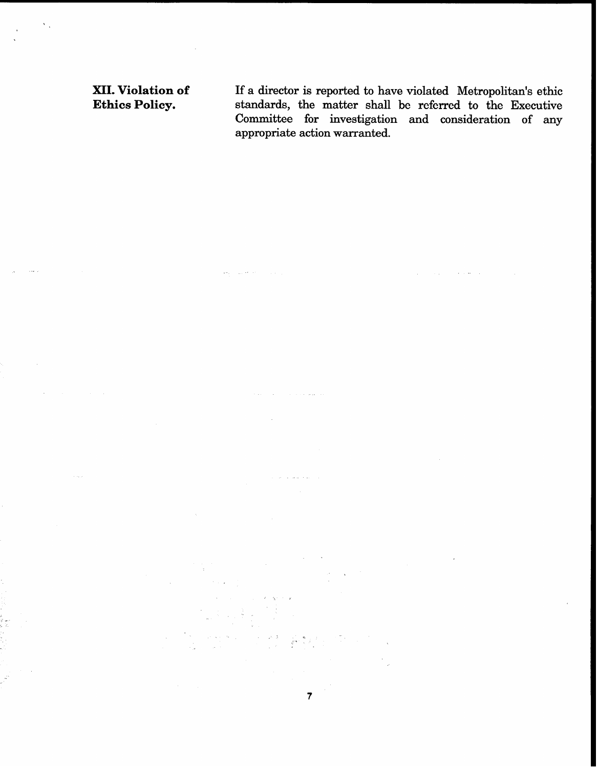XII. Violation of Ethics Policy.

,

.

If a director is reported to have violated Metropolitan's ethic standards, the matter shall be referred to the Executive Committee for investigation and consideration of any appropriate action warranted.

 $\frac{1}{\sqrt{2}}\partial_{\theta} \psi$